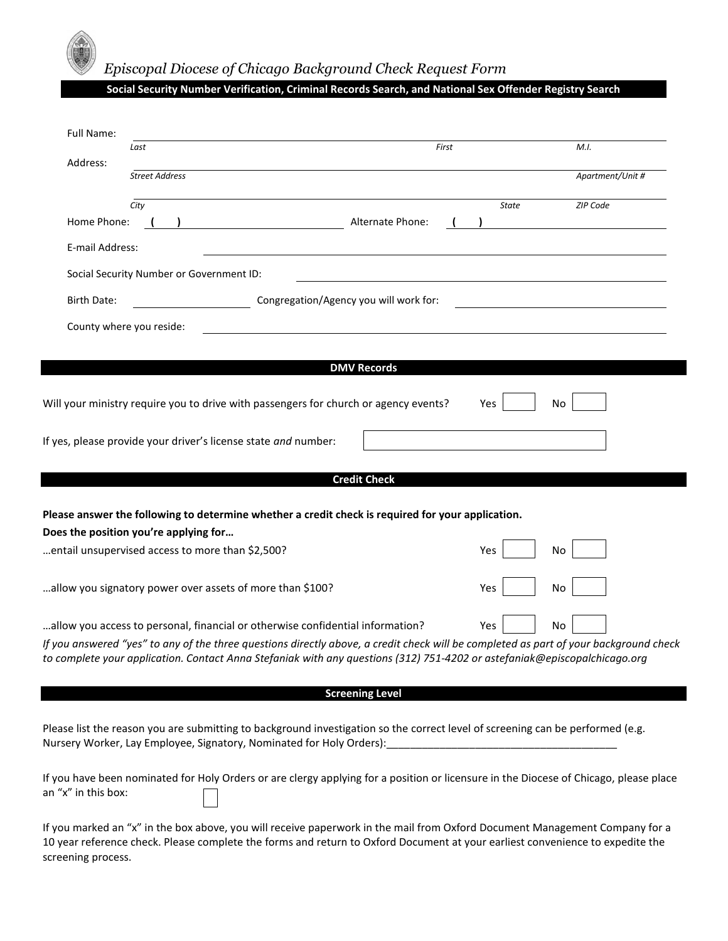

## *The Episcopal Diocese of Chicago Background Check Request Form*

## **Social Security Number Verification, Criminal Records Search, and National Sex Offender Registry Search**

| Full Name:                                                                                                                                                                                                                                                                                                                                                        |                                                                                                                                                                                                                                                              |                        |           |                  |  |  |
|-------------------------------------------------------------------------------------------------------------------------------------------------------------------------------------------------------------------------------------------------------------------------------------------------------------------------------------------------------------------|--------------------------------------------------------------------------------------------------------------------------------------------------------------------------------------------------------------------------------------------------------------|------------------------|-----------|------------------|--|--|
| Address:                                                                                                                                                                                                                                                                                                                                                          | Last                                                                                                                                                                                                                                                         | First                  |           | M.I.             |  |  |
|                                                                                                                                                                                                                                                                                                                                                                   | <b>Street Address</b>                                                                                                                                                                                                                                        |                        |           | Apartment/Unit # |  |  |
|                                                                                                                                                                                                                                                                                                                                                                   | City                                                                                                                                                                                                                                                         |                        | State     | ZIP Code         |  |  |
| Home Phone:                                                                                                                                                                                                                                                                                                                                                       |                                                                                                                                                                                                                                                              | Alternate Phone:       |           |                  |  |  |
| E-mail Address:                                                                                                                                                                                                                                                                                                                                                   |                                                                                                                                                                                                                                                              |                        |           |                  |  |  |
| Social Security Number or Government ID:<br><u> 1989 - Johann Barn, mars eta bainar eta bat erroman erroman erroman erroman erroman erroman erroman erroman </u>                                                                                                                                                                                                  |                                                                                                                                                                                                                                                              |                        |           |                  |  |  |
| Congregation/Agency you will work for:<br>Birth Date:<br><u> 1989 - Johann Barbara, martin amerikan basar dan basa dan basa dan basa dalam basa dalam basa dalam basa dala</u>                                                                                                                                                                                    |                                                                                                                                                                                                                                                              |                        |           |                  |  |  |
| County where you reside:                                                                                                                                                                                                                                                                                                                                          |                                                                                                                                                                                                                                                              |                        |           |                  |  |  |
|                                                                                                                                                                                                                                                                                                                                                                   |                                                                                                                                                                                                                                                              |                        |           |                  |  |  |
|                                                                                                                                                                                                                                                                                                                                                                   |                                                                                                                                                                                                                                                              | <b>DMV Records</b>     |           |                  |  |  |
|                                                                                                                                                                                                                                                                                                                                                                   | Will your ministry require you to drive with passengers for church or agency events?                                                                                                                                                                         |                        | Yes<br>No |                  |  |  |
|                                                                                                                                                                                                                                                                                                                                                                   | If yes, please provide your driver's license state and number:                                                                                                                                                                                               |                        |           |                  |  |  |
|                                                                                                                                                                                                                                                                                                                                                                   |                                                                                                                                                                                                                                                              | <b>Credit Check</b>    |           |                  |  |  |
| Please answer the following to determine whether a credit check is required for your application.<br>Does the position you're applying for                                                                                                                                                                                                                        |                                                                                                                                                                                                                                                              |                        |           |                  |  |  |
|                                                                                                                                                                                                                                                                                                                                                                   | entail unsupervised access to more than \$2,500?                                                                                                                                                                                                             |                        | Yes<br>No |                  |  |  |
|                                                                                                                                                                                                                                                                                                                                                                   | allow you signatory power over assets of more than \$100?                                                                                                                                                                                                    |                        | Yes<br>No |                  |  |  |
| allow you access to personal, financial or otherwise confidential information?<br>Yes<br>No<br>If you answered "yes" to any of the three questions directly above, a credit check will be completed as part of your background check<br>to complete your application. Contact Anna Stefaniak with any questions (312) 751-4202 or astefaniak@episcopalchicago.org |                                                                                                                                                                                                                                                              |                        |           |                  |  |  |
|                                                                                                                                                                                                                                                                                                                                                                   |                                                                                                                                                                                                                                                              | <b>Screening Level</b> |           |                  |  |  |
| Please list the reason you are submitting to background investigation so the correct level of screening can be performed (e.g.<br>Nursery Worker, Lay Employee, Signatory, Nominated for Holy Orders): [19] Nursery Worker, Lay Employee, Signatory, Nominated for Holy Orders): [20] Nurser Law Processor (1996)                                                 |                                                                                                                                                                                                                                                              |                        |           |                  |  |  |
| an "x" in this box:                                                                                                                                                                                                                                                                                                                                               | If you have been nominated for Holy Orders or are clergy applying for a position or licensure in the Diocese of Chicago, please place                                                                                                                        |                        |           |                  |  |  |
| screening process.                                                                                                                                                                                                                                                                                                                                                | If you marked an "x" in the box above, you will receive paperwork in the mail from Oxford Document Management Company for a<br>10 year reference check. Please complete the forms and return to Oxford Document at your earliest convenience to expedite the |                        |           |                  |  |  |